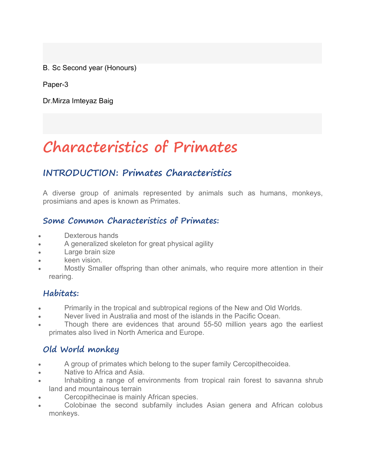B. Sc Second year (Honours)

Paper-3

Dr.Mirza Imteyaz Baig

# **Characteristics of Primates**

# **INTRODUCTION: Primates Characteristics**

A diverse group of animals represented by animals such as humans, monkeys, prosimians and apes is known as Primates.

#### **Some Common Characteristics of Primates:**

- Dexterous hands
- A generalized skeleton for great physical agility
- Large brain size
- keen vision.
- Mostly Smaller offspring than other animals, who require more attention in their rearing.

### **Habitats:**

- Primarily in the tropical and subtropical regions of the New and Old Worlds.
- Never lived in Australia and most of the islands in the Pacific Ocean.
- Though there are evidences that around 55-50 million years ago the earliest primates also lived in North America and Europe.

# **Old World monkey**

- A group of primates which belong to the super family Cercopithecoidea.
- Native to Africa and Asia.
- Inhabiting a range of environments from tropical rain forest to savanna shrub land and mountainous terrain
- Cercopithecinae is mainly African species.
- Colobinae the second subfamily includes Asian genera and African colobus monkeys.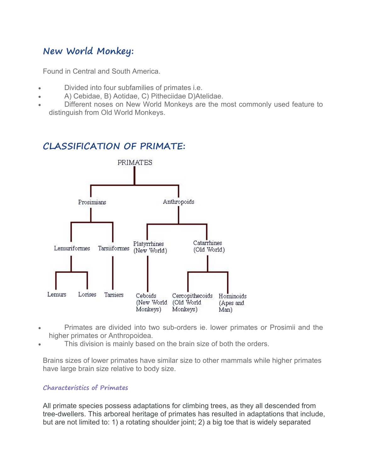# **New World Monkey:**

Found in Central and South America.

- Divided into four subfamilies of primates i.e.
- A) Cebidae, B) Aotidae, C) Pitheciidae D)Atelidae.
- Different noses on New World Monkeys are the most commonly used feature to distinguish from Old World Monkeys.

#### **CLASSIFICATION OF PRIMATE:**



- Primates are divided into two sub-orders ie. lower primates or Prosimii and the higher primates or Anthropoidea.
- This division is mainly based on the brain size of both the orders.

Brains sizes of lower primates have similar size to other mammals while higher primates have large brain size relative to body size.

#### **Characteristics of Primates**

All primate species possess adaptations for climbing trees, as they all descended from tree-dwellers. This arboreal heritage of primates has resulted in adaptations that include, but are not limited to: 1) a rotating shoulder joint; 2) a big toe that is widely separated